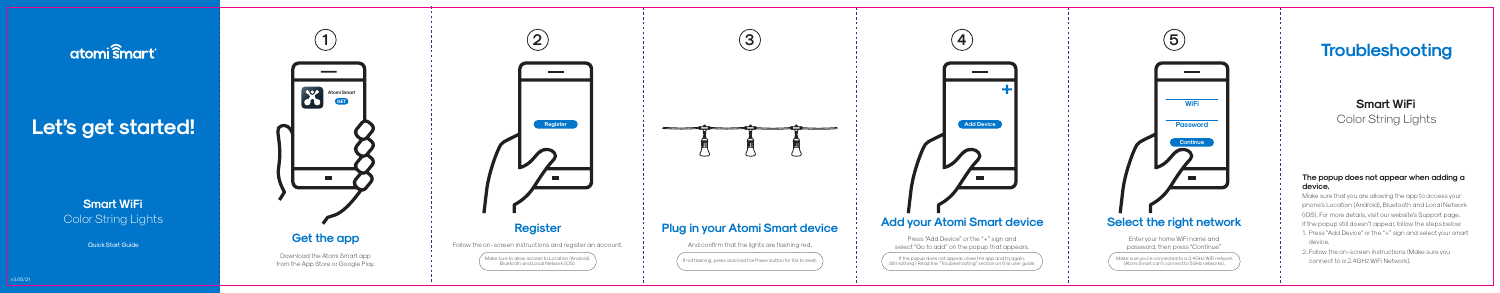# atomi smart

# Let's get started!

# **Smart WiFi** Color String Lights



**3**

sure to allow access to Location (Anafoid), in the last of the International International International Inter<br>Bluetooth and Local Network (iOS).

Make sure you're connected to a 2.4GHz WiFi network (Atomi Smart can't connect to 5GHz networks).

Press "Add Device" or the "+" sign and select "Go to add" on the popup that appears.

**Smart WiFi** Color String Lights

Quick Start Guide



## **Add your Atomi Smart device**



## **Select the right network**

Enter your home WiFi name and password, then press "Continue"



And confirm that the lights are flashing red.

If the popup does not appear, close the app and try again. Still nothing? Read the "Troubleshooting" section on this user guide.

### **The popup does not appear when adding a device.**

Make sure that you are allowing the app to access your phone's Location (Android), Bluetooth and Local Network (iOS). For more details, visit our website's Support page. If the popup still doesn't appear, follow the steps below: 1. Press "Add Device" or the "+" sign and select your smart device.

2. Follow the on-screen instructions (Make sure you connect to a 2.4GHz WiFi Network).